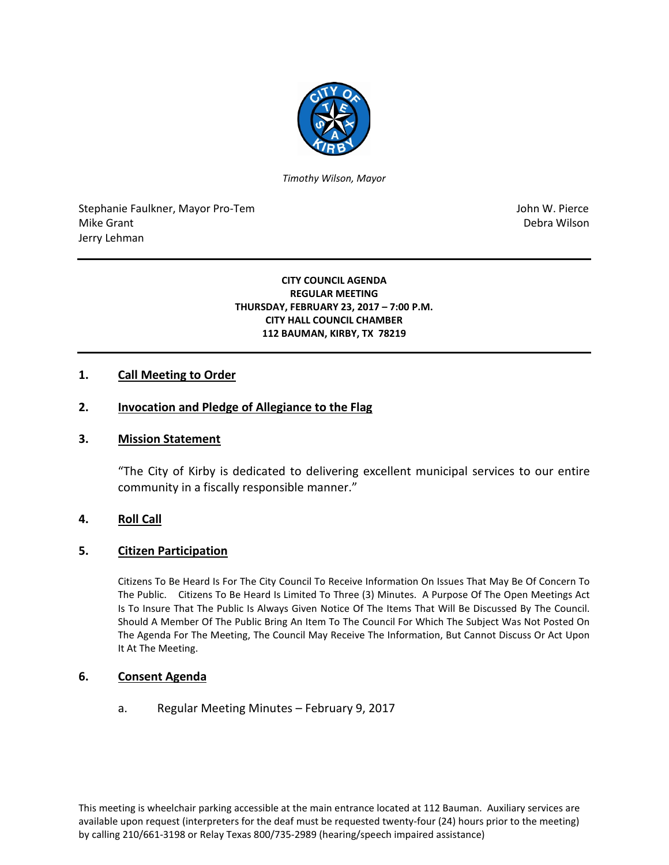

*Timothy Wilson, Mayor*

Stephanie Faulkner, Mayor Pro-Tem John W. Pierce Mike Grant **Debra Wilson** Jerry Lehman

#### **CITY COUNCIL AGENDA REGULAR MEETING THURSDAY, FEBRUARY 23, 2017 – 7:00 P.M. CITY HALL COUNCIL CHAMBER 112 BAUMAN, KIRBY, TX 78219**

# **1. Call Meeting to Order**

### **2. Invocation and Pledge of Allegiance to the Flag**

#### **3. Mission Statement**

"The City of Kirby is dedicated to delivering excellent municipal services to our entire community in a fiscally responsible manner."

#### **4. Roll Call**

#### **5. Citizen Participation**

Citizens To Be Heard Is For The City Council To Receive Information On Issues That May Be Of Concern To The Public. Citizens To Be Heard Is Limited To Three (3) Minutes. A Purpose Of The Open Meetings Act Is To Insure That The Public Is Always Given Notice Of The Items That Will Be Discussed By The Council. Should A Member Of The Public Bring An Item To The Council For Which The Subject Was Not Posted On The Agenda For The Meeting, The Council May Receive The Information, But Cannot Discuss Or Act Upon It At The Meeting.

#### **6. Consent Agenda**

a. Regular Meeting Minutes – February 9, 2017

This meeting is wheelchair parking accessible at the main entrance located at 112 Bauman. Auxiliary services are available upon request (interpreters for the deaf must be requested twenty-four (24) hours prior to the meeting) by calling 210/661-3198 or Relay Texas 800/735-2989 (hearing/speech impaired assistance)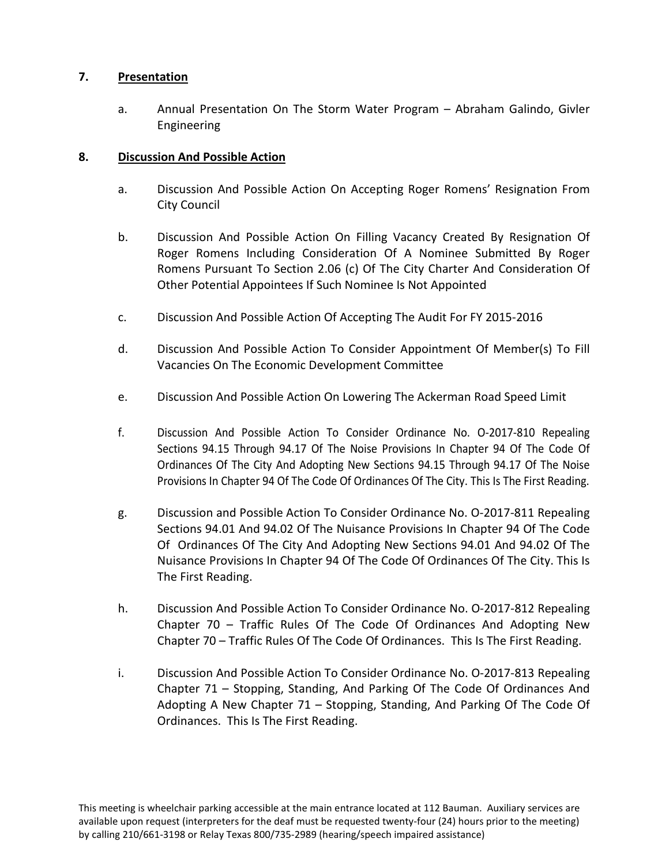# **7. Presentation**

a. Annual Presentation On The Storm Water Program – Abraham Galindo, Givler Engineering

## **8. Discussion And Possible Action**

- a. Discussion And Possible Action On Accepting Roger Romens' Resignation From City Council
- b. Discussion And Possible Action On Filling Vacancy Created By Resignation Of Roger Romens Including Consideration Of A Nominee Submitted By Roger Romens Pursuant To Section 2.06 (c) Of The City Charter And Consideration Of Other Potential Appointees If Such Nominee Is Not Appointed
- c. Discussion And Possible Action Of Accepting The Audit For FY 2015-2016
- d. Discussion And Possible Action To Consider Appointment Of Member(s) To Fill Vacancies On The Economic Development Committee
- e. Discussion And Possible Action On Lowering The Ackerman Road Speed Limit
- f. Discussion And Possible Action To Consider Ordinance No. O-2017-810 Repealing Sections 94.15 Through 94.17 Of The Noise Provisions In Chapter 94 Of The Code Of Ordinances Of The City And Adopting New Sections 94.15 Through 94.17 Of The Noise Provisions In Chapter 94 Of The Code Of Ordinances Of The City. This Is The First Reading.
- g. Discussion and Possible Action To Consider Ordinance No. O-2017-811 Repealing Sections 94.01 And 94.02 Of The Nuisance Provisions In Chapter 94 Of The Code Of Ordinances Of The City And Adopting New Sections 94.01 And 94.02 Of The Nuisance Provisions In Chapter 94 Of The Code Of Ordinances Of The City. This Is The First Reading.
- h. Discussion And Possible Action To Consider Ordinance No. O-2017-812 Repealing Chapter 70 – Traffic Rules Of The Code Of Ordinances And Adopting New Chapter 70 – Traffic Rules Of The Code Of Ordinances. This Is The First Reading.
- i. Discussion And Possible Action To Consider Ordinance No. O-2017-813 Repealing Chapter 71 – Stopping, Standing, And Parking Of The Code Of Ordinances And Adopting A New Chapter 71 – Stopping, Standing, And Parking Of The Code Of Ordinances. This Is The First Reading.